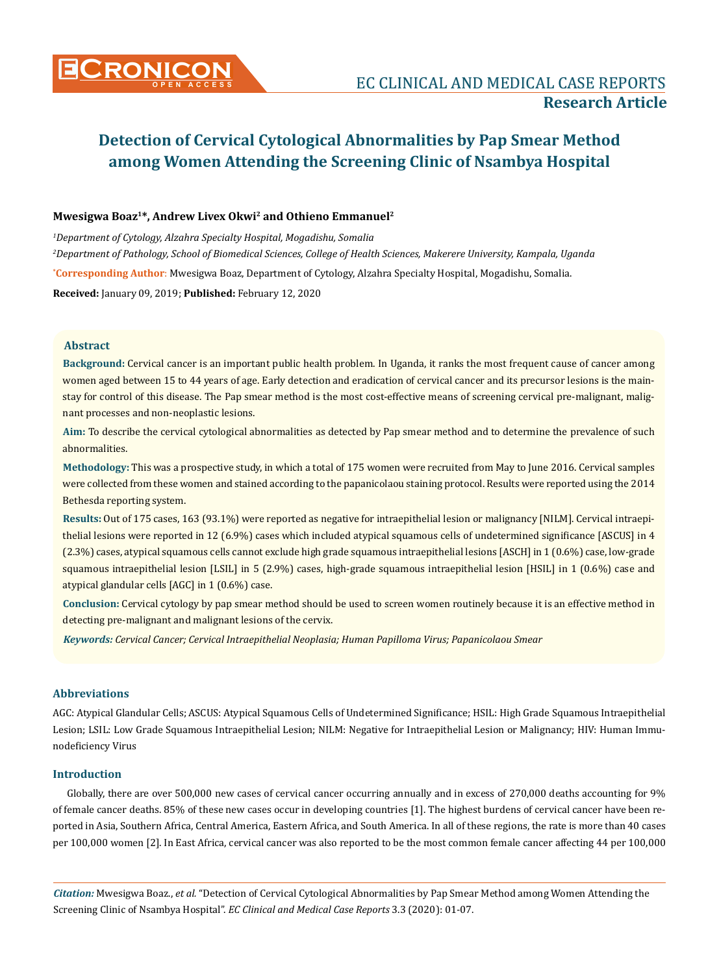# **Mwesigwa Boaz1\*, Andrew Livex Okwi2 and Othieno Emmanuel2**

**\* Corresponding Author**: Mwesigwa Boaz, Department of Cytology, Alzahra Specialty Hospital, Mogadishu, Somalia. **Received:** January 09, 2019; **Published:** February 12, 2020 *1 Department of Cytology, Alzahra Specialty Hospital, Mogadishu, Somalia 2 Department of Pathology, School of Biomedical Sciences, College of Health Sciences, Makerere University, Kampala, Uganda*

# **Abstract**

**Background:** Cervical cancer is an important public health problem. In Uganda, it ranks the most frequent cause of cancer among women aged between 15 to 44 years of age. Early detection and eradication of cervical cancer and its precursor lesions is the mainstay for control of this disease. The Pap smear method is the most cost-effective means of screening cervical pre-malignant, malignant processes and non-neoplastic lesions.

**Aim:** To describe the cervical cytological abnormalities as detected by Pap smear method and to determine the prevalence of such abnormalities.

**Methodology:** This was a prospective study, in which a total of 175 women were recruited from May to June 2016. Cervical samples were collected from these women and stained according to the papanicolaou staining protocol. Results were reported using the 2014 Bethesda reporting system.

**Results:** Out of 175 cases, 163 (93.1%) were reported as negative for intraepithelial lesion or malignancy [NILM]. Cervical intraepithelial lesions were reported in 12 (6.9%) cases which included atypical squamous cells of undetermined significance [ASCUS] in 4 (2.3%) cases, atypical squamous cells cannot exclude high grade squamous intraepithelial lesions [ASCH] in 1 (0.6%) case, low-grade squamous intraepithelial lesion [LSIL] in 5 (2.9%) cases, high-grade squamous intraepithelial lesion [HSIL] in 1 (0.6%) case and atypical glandular cells [AGC] in 1 (0.6%) case.

**Conclusion:** Cervical cytology by pap smear method should be used to screen women routinely because it is an effective method in detecting pre-malignant and malignant lesions of the cervix.

*Keywords: Cervical Cancer; Cervical Intraepithelial Neoplasia; Human Papilloma Virus; Papanicolaou Smear*

# **Abbreviations**

AGC: Atypical Glandular Cells; ASCUS: Atypical Squamous Cells of Undetermined Significance; HSIL: High Grade Squamous Intraepithelial Lesion; LSIL: Low Grade Squamous Intraepithelial Lesion; NILM: Negative for Intraepithelial Lesion or Malignancy; HIV: Human Immunodeficiency Virus

# **Introduction**

Globally, there are over 500,000 new cases of cervical cancer occurring annually and in excess of 270,000 deaths accounting for 9% of female cancer deaths. 85% of these new cases occur in developing countries [1]. The highest burdens of cervical cancer have been reported in Asia, Southern Africa, Central America, Eastern Africa, and South America. In all of these regions, the rate is more than 40 cases per 100,000 women [2]. In East Africa, cervical cancer was also reported to be the most common female cancer affecting 44 per 100,000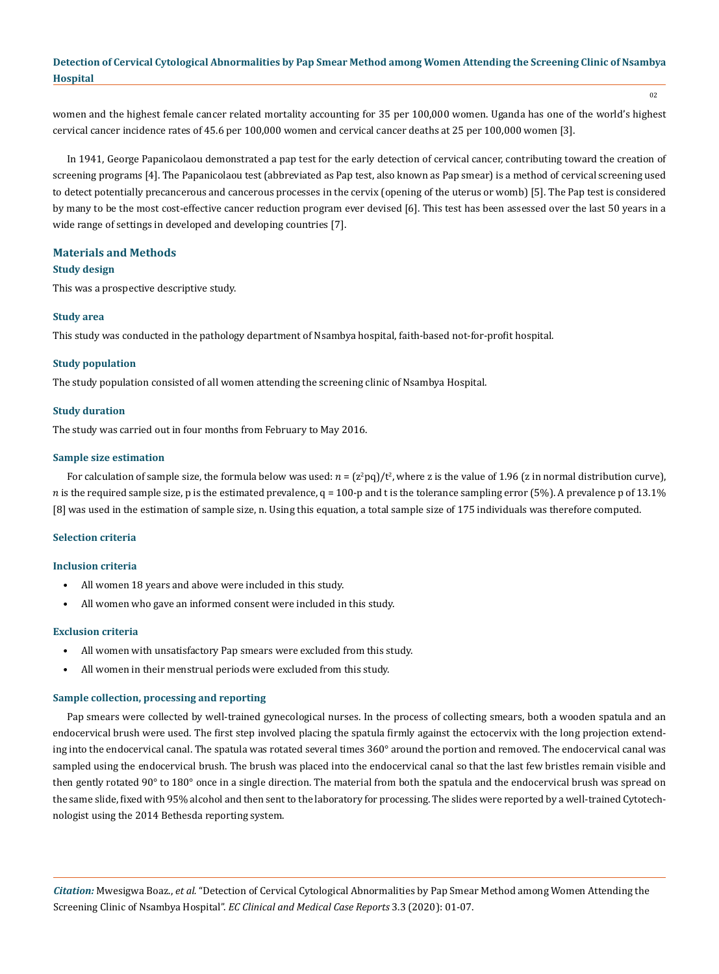women and the highest female cancer related mortality accounting for 35 per 100,000 women. Uganda has one of the world's highest cervical cancer incidence rates of 45.6 per 100,000 women and cervical cancer deaths at 25 per 100,000 women [3].

In 1941, George Papanicolaou demonstrated a pap test for the early detection of cervical cancer, contributing toward the creation of screening programs [4]. The Papanicolaou test (abbreviated as Pap test, also known as Pap smear) is a method of [cervical screening](https://en.wikipedia.org/wiki/Cervical_screening) used to detect potentially precancerous and cancerous processes in the [cervix](https://en.wikipedia.org/wiki/Cervix) (opening of the uterus or womb) [5]. The Pap test is considered by many to be the most cost-effective cancer reduction program ever devised [6]. This test has been assessed over the last 50 years in a wide range of settings in developed and developing countries [7].

## **Materials and Methods**

# **Study design**

This was a prospective descriptive study.

## **Study area**

This study was conducted in the pathology department of Nsambya hospital, faith-based not-for-profit hospital.

#### **Study population**

The study population consisted of all women attending the screening clinic of Nsambya Hospital.

#### **Study duration**

The study was carried out in four months from February to May 2016.

#### **Sample size estimation**

For calculation of sample size, the formula below was used:  $n = (z^2pq)/t^2$ , where z is the value of 1.96 (z in normal distribution curve), n is the required sample size, p is the estimated prevalence,  $q = 100$ -p and t is the tolerance sampling error (5%). A prevalence p of 13.1% [8] was used in the estimation of sample size, n. Using this equation, a total sample size of 175 individuals was therefore computed.

#### **Selection criteria**

#### **Inclusion criteria**

- All women 18 years and above were included in this study.
- All women who gave an informed consent were included in this study.

## **Exclusion criteria**

- All women with unsatisfactory Pap smears were excluded from this study.
- All women in their menstrual periods were excluded from this study.

#### **Sample collection, processing and reporting**

Pap smears were collected by well-trained gynecological nurses. In the process of collecting smears, both a wooden spatula and an endocervical brush were used. The first step involved placing the spatula firmly against the ectocervix with the long projection extending into the endocervical canal. The spatula was rotated several times 360° around the portion and removed. The endocervical canal was sampled using the endocervical brush. The brush was placed into the endocervical canal so that the last few bristles remain visible and then gently rotated 90° to 180° once in a single direction. The material from both the spatula and the endocervical brush was spread on the same slide, fixed with 95% alcohol and then sent to the laboratory for processing. The slides were reported by a well-trained Cytotechnologist using the 2014 Bethesda reporting system.

*Citation:* Mwesigwa Boaz., *et al.* "Detection of Cervical Cytological Abnormalities by Pap Smear Method among Women Attending the Screening Clinic of Nsambya Hospital". *EC Clinical and Medical Case Reports* 3.3 (2020): 01-07.

02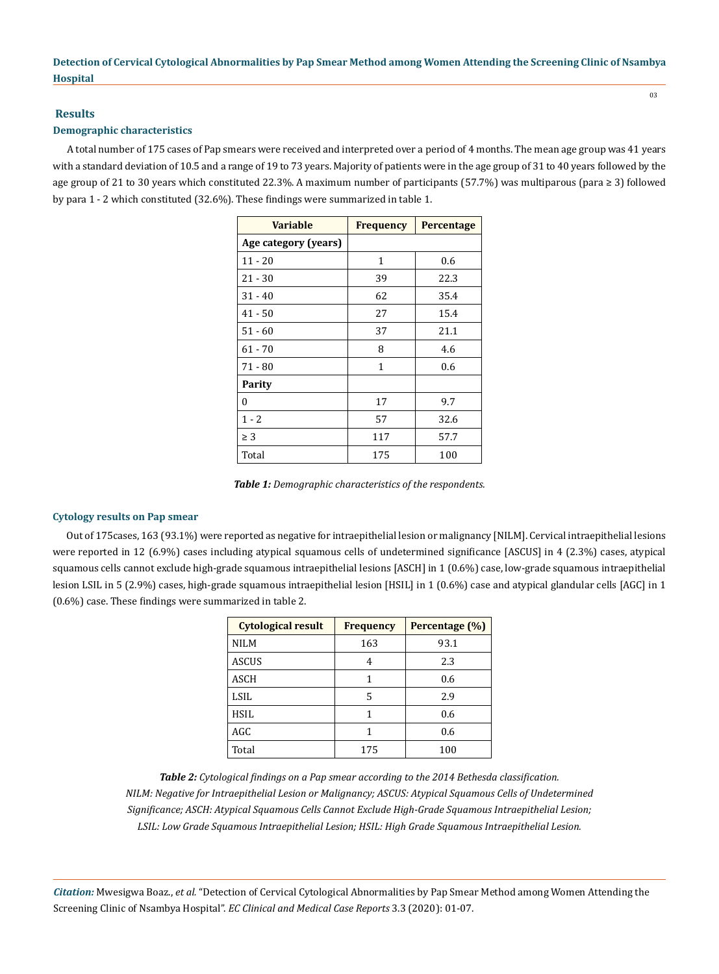# **Results**

# **Demographic characteristics**

A total number of 175 cases of Pap smears were received and interpreted over a period of 4 months. The mean age group was 41 years with a standard deviation of 10.5 and a range of 19 to 73 years. Majority of patients were in the age group of 31 to 40 years followed by the age group of 21 to 30 years which constituted 22.3%. A maximum number of participants (57.7%) was multiparous (para ≥ 3) followed by para 1 - 2 which constituted (32.6%). These findings were summarized in table 1.

| <b>Variable</b>      | <b>Frequency</b> | <b>Percentage</b> |  |
|----------------------|------------------|-------------------|--|
| Age category (years) |                  |                   |  |
| $11 - 20$            | 1                | 0.6               |  |
| $21 - 30$            | 39               | 22.3              |  |
| $31 - 40$            | 62               | 35.4              |  |
| $41 - 50$            | 27               | 15.4              |  |
| $51 - 60$            | 37               | 21.1              |  |
| $61 - 70$            | 8                | 4.6               |  |
| $71 - 80$            | 1                | 0.6               |  |
| Parity               |                  |                   |  |
| $\theta$             | 17               | 9.7               |  |
| $1 - 2$              | 57               | 32.6              |  |
| $\geq 3$             | 117              | 57.7              |  |
| Total                | 175              | 100               |  |

*Table 1: Demographic characteristics of the respondents.*

# **Cytology results on Pap smear**

Out of 175cases, 163 (93.1%) were reported as negative for intraepithelial lesion or malignancy [NILM]. Cervical intraepithelial lesions were reported in 12 (6.9%) cases including atypical squamous cells of undetermined significance [ASCUS] in 4 (2.3%) cases, atypical squamous cells cannot exclude high-grade squamous intraepithelial lesions [ASCH] in 1 (0.6%) case, low-grade squamous intraepithelial lesion LSIL in 5 (2.9%) cases, high-grade squamous intraepithelial lesion [HSIL] in 1 (0.6%) case and atypical glandular cells [AGC] in 1 (0.6%) case. These findings were summarized in table 2.

| <b>Cytological result</b> | <b>Frequency</b> | Percentage (%) |  |
|---------------------------|------------------|----------------|--|
| <b>NILM</b>               | 163              | 93.1           |  |
| <b>ASCUS</b>              | 4                | 2.3            |  |
| ASCH                      | 1                | 0.6            |  |
| LSIL                      | 5                | 2.9            |  |
| HSIL                      | 1                | 0.6            |  |
| AGC                       | 1                | 0.6            |  |
| Total                     | 175              | 100            |  |

*Table 2: Cytological findings on a Pap smear according to the 2014 Bethesda classification. NILM: Negative for Intraepithelial Lesion or Malignancy; ASCUS: Atypical Squamous Cells of Undetermined Significance; ASCH: Atypical Squamous Cells Cannot Exclude High-Grade Squamous Intraepithelial Lesion; LSIL: Low Grade Squamous Intraepithelial Lesion; HSIL: High Grade Squamous Intraepithelial Lesion.*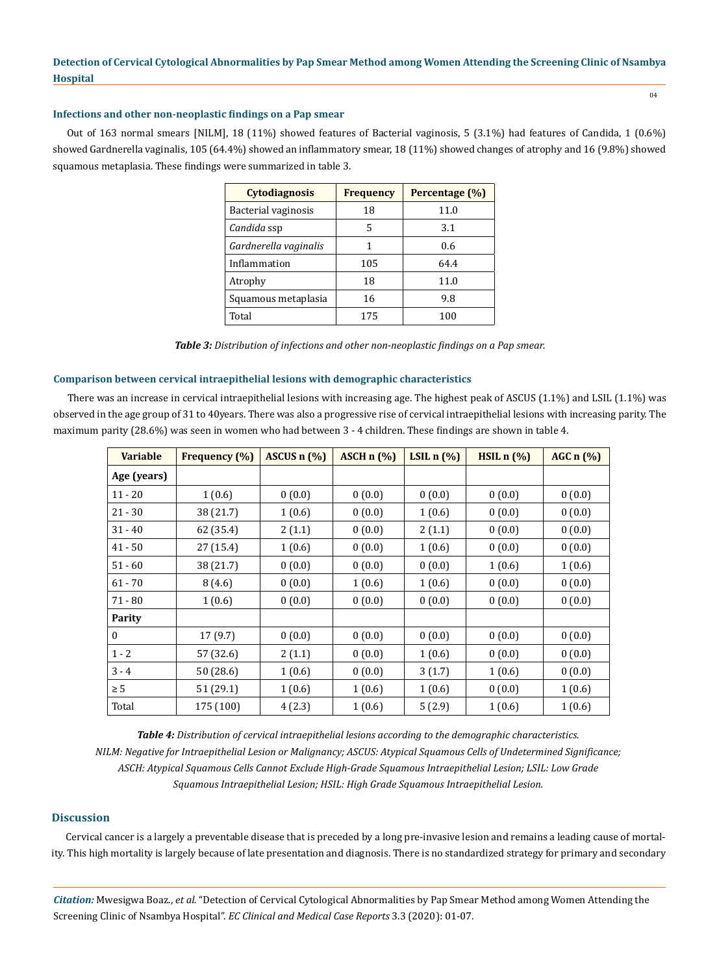04

#### **Infections and other non-neoplastic findings on a Pap smear**

Out of 163 normal smears [NILM], 18 (11%) showed features of Bacterial vaginosis, 5 (3.1%) had features of Candida, 1 (0.6%) showed Gardnerella vaginalis, 105 (64.4%) showed an inflammatory smear, 18 (11%) showed changes of atrophy and 16 (9.8%) showed squamous metaplasia. These findings were summarized in table 3.

| <b>Cytodiagnosis</b>  | <b>Frequency</b> | Percentage (%) |  |
|-----------------------|------------------|----------------|--|
| Bacterial vaginosis   | 18               | 11.0           |  |
| Candida ssp           | 5                | 3.1            |  |
| Gardnerella vaginalis |                  | 0.6            |  |
| Inflammation          | 105              | 64.4           |  |
| Atrophy               | 18               | 11.0           |  |
| Squamous metaplasia   | 16               | 9.8            |  |
| Total                 | 175              | 100            |  |

*Table 3: Distribution of infections and other non-neoplastic findings on a Pap smear.*

#### **Comparison between cervical intraepithelial lesions with demographic characteristics**

There was an increase in cervical intraepithelial lesions with increasing age. The highest peak of ASCUS (1.1%) and LSIL (1.1%) was observed in the age group of 31 to 40years. There was also a progressive rise of cervical intraepithelial lesions with increasing parity. The maximum parity (28.6%) was seen in women who had between 3 - 4 children. These findings are shown in table 4.

| <b>Variable</b> | <b>Frequency</b> (%) | ASCUS n (%) | ASCH $n$ $(\%)$ | LSIL $n$ $(\%)$ | HSLn(%) | AGC $n$ $(\%)$ |
|-----------------|----------------------|-------------|-----------------|-----------------|---------|----------------|
| Age (years)     |                      |             |                 |                 |         |                |
| $11 - 20$       | 1(0.6)               | 0(0.0)      | 0(0.0)          | 0(0.0)          | 0(0.0)  | 0(0.0)         |
| $21 - 30$       | 38 (21.7)            | 1(0.6)      | 0(0.0)          | 1(0.6)          | 0(0.0)  | 0(0.0)         |
| $31 - 40$       | 62 (35.4)            | 2(1.1)      | 0(0.0)          | 2(1.1)          | 0(0.0)  | 0(0.0)         |
| $41 - 50$       | 27 (15.4)            | 1(0.6)      | 0(0.0)          | 1(0.6)          | 0(0.0)  | 0(0.0)         |
| $51 - 60$       | 38 (21.7)            | 0(0.0)      | 0(0.0)          | 0(0.0)          | 1(0.6)  | 1(0.6)         |
| $61 - 70$       | 8(4.6)               | 0(0.0)      | 1(0.6)          | 1(0.6)          | 0(0.0)  | 0(0.0)         |
| 71 - 80         | 1(0.6)               | 0(0.0)      | 0(0.0)          | 0(0.0)          | 0(0.0)  | 0(0.0)         |
| <b>Parity</b>   |                      |             |                 |                 |         |                |
| $\bf{0}$        | 17(9.7)              | 0(0.0)      | 0(0.0)          | 0(0.0)          | 0(0.0)  | 0(0.0)         |
| $1 - 2$         | 57 (32.6)            | 2(1.1)      | 0(0.0)          | 1(0.6)          | 0(0.0)  | 0(0.0)         |
| $3 - 4$         | 50 (28.6)            | 1(0.6)      | 0(0.0)          | 3(1.7)          | 1(0.6)  | 0(0.0)         |
| $\geq 5$        | 51 (29.1)            | 1(0.6)      | 1(0.6)          | 1(0.6)          | 0(0.0)  | 1(0.6)         |
| Total           | 175 (100)            | 4(2.3)      | 1(0.6)          | 5(2.9)          | 1(0.6)  | 1(0.6)         |

*Table 4: Distribution of cervical intraepithelial lesions according to the demographic characteristics. NILM: Negative for Intraepithelial Lesion or Malignancy; ASCUS: Atypical Squamous Cells of Undetermined Significance; ASCH: Atypical Squamous Cells Cannot Exclude High-Grade Squamous Intraepithelial Lesion; LSIL: Low Grade Squamous Intraepithelial Lesion; HSIL: High Grade Squamous Intraepithelial Lesion.*

# **Discussion**

Cervical cancer is a largely a preventable disease that is preceded by a long pre-invasive lesion and remains a leading cause of mortality. This high mortality is largely because of late presentation and diagnosis. There is no standardized strategy for primary and secondary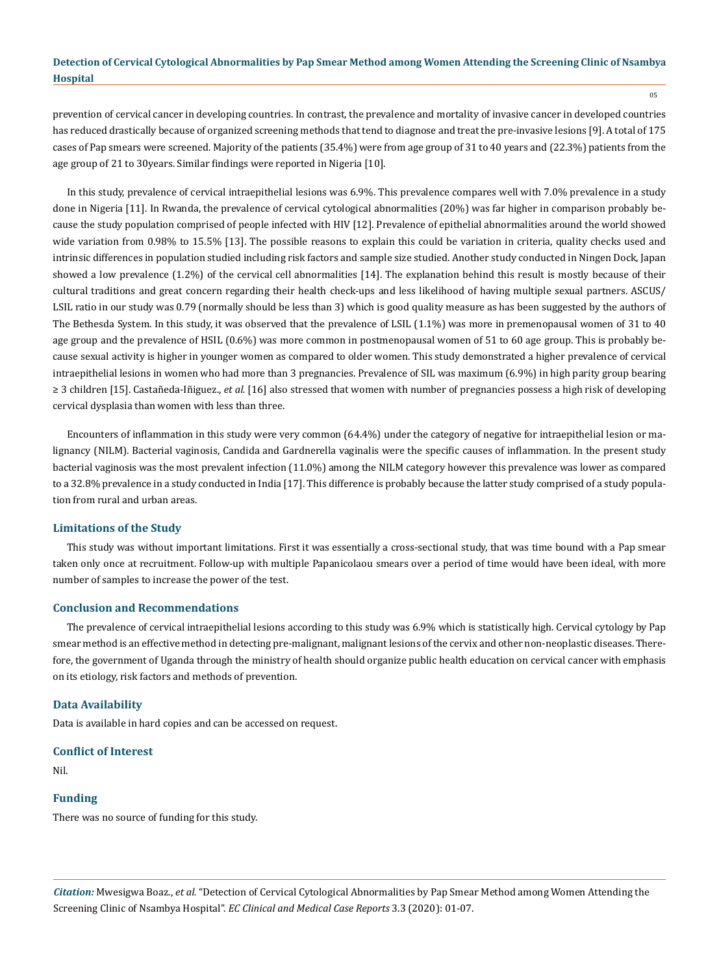prevention of cervical cancer in developing countries. In contrast, the prevalence and mortality of invasive cancer in developed countries has reduced drastically because of organized screening methods that tend to diagnose and treat the pre-invasive lesions [9]. A total of 175 cases of Pap smears were screened. Majority of the patients (35.4%) were from age group of 31 to 40 years and (22.3%) patients from the age group of 21 to 30years. Similar findings were reported in Nigeria [10].

In this study, prevalence of cervical intraepithelial lesions was 6.9%. This prevalence compares well with 7.0% prevalence in a study done in Nigeria [11]. In Rwanda, the prevalence of cervical cytological abnormalities (20%) was far higher in comparison probably because the study population comprised of people infected with HIV [12]. Prevalence of epithelial abnormalities around the world showed wide variation from 0.98% to 15.5% [13]. The possible reasons to explain this could be variation in criteria, quality checks used and intrinsic differences in population studied including risk factors and sample size studied. Another study conducted in Ningen Dock, Japan showed a low prevalence (1.2%) of the cervical cell abnormalities [14]. The explanation behind this result is mostly because of their cultural traditions and great concern regarding their health check-ups and less likelihood of having multiple sexual partners. ASCUS/ LSIL ratio in our study was 0.79 (normally should be less than 3) which is good quality measure as has been suggested by the authors of The Bethesda System. In this study, it was observed that the prevalence of LSIL (1.1%) was more in premenopausal women of 31 to 40 age group and the prevalence of HSIL (0.6%) was more common in postmenopausal women of 51 to 60 age group. This is probably because sexual activity is higher in younger women as compared to older women. This study demonstrated a higher prevalence of cervical intraepithelial lesions in women who had more than 3 pregnancies. Prevalence of SIL was maximum (6.9%) in high parity group bearing ≥ 3 children [15]. Castañeda-Iñiguez., *et al.* [16] also stressed that women with number of pregnancies possess a high risk of developing cervical dysplasia than women with less than three.

Encounters of inflammation in this study were very common (64.4%) under the category of negative for intraepithelial lesion or malignancy (NILM). Bacterial vaginosis, Candida and Gardnerella vaginalis were the specific causes of inflammation. In the present study bacterial vaginosis was the most prevalent infection (11.0%) among the NILM category however this prevalence was lower as compared to a 32.8% prevalence in a study conducted in India [17]. This difference is probably because the latter study comprised of a study population from rural and urban areas.

# **Limitations of the Study**

This study was without important limitations. First it was essentially a cross-sectional study, that was time bound with a Pap smear taken only once at recruitment. Follow-up with multiple Papanicolaou smears over a period of time would have been ideal, with more number of samples to increase the power of the test.

# **Conclusion and Recommendations**

The prevalence of cervical intraepithelial lesions according to this study was 6.9% which is statistically high. Cervical cytology by Pap smear method is an effective method in detecting pre-malignant, malignant lesions of the cervix and other non-neoplastic diseases. Therefore, the government of Uganda through the ministry of health should organize public health education on cervical cancer with emphasis on its etiology, risk factors and methods of prevention.

## **Data Availability**

Data is available in hard copies and can be accessed on request.

#### **Conflict of Interest**

Nil.

#### **Funding**

There was no source of funding for this study.

*Citation:* Mwesigwa Boaz., *et al.* "Detection of Cervical Cytological Abnormalities by Pap Smear Method among Women Attending the Screening Clinic of Nsambya Hospital". *EC Clinical and Medical Case Reports* 3.3 (2020): 01-07.

05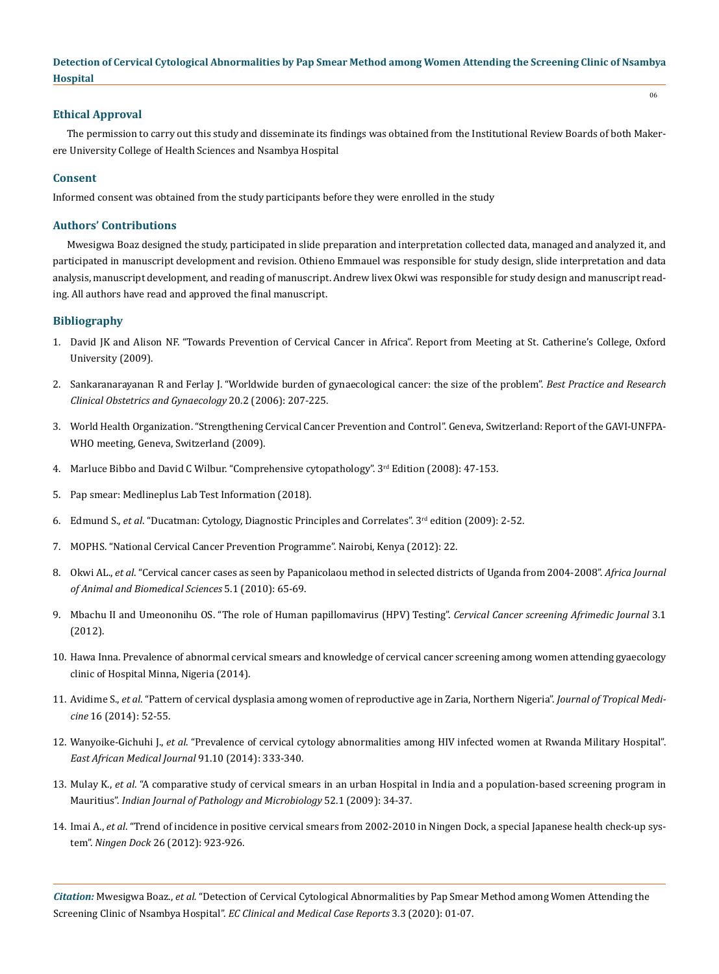# **Ethical Approval**

The permission to carry out this study and disseminate its findings was obtained from the Institutional Review Boards of both Makerere University College of Health Sciences and Nsambya Hospital

## **Consent**

Informed consent was obtained from the study participants before they were enrolled in the study

#### **Authors' Contributions**

Mwesigwa Boaz designed the study, participated in slide preparation and interpretation collected data, managed and analyzed it, and participated in manuscript development and revision. Othieno Emmauel was responsible for study design, slide interpretation and data analysis, manuscript development, and reading of manuscript. Andrew livex Okwi was responsible for study design and manuscript reading. All authors have read and approved the final manuscript.

# **Bibliography**

- 1. David JK and Alison NF. "Towards Prevention of Cervical Cancer in Africa". Report from Meeting at St. Catherine's College, Oxford University (2009).
- 2. [Sankaranarayanan R and Ferlay J. "Worldwide burden of gynaecological cancer: the size of the problem".](https://www.researchgate.net/publication/7410231_Worldwide_burden_of_gynecological_cancer_The_size_of_the_problem) *Best Practice and Research [Clinical Obstetrics and Gynaecology](https://www.researchgate.net/publication/7410231_Worldwide_burden_of_gynecological_cancer_The_size_of_the_problem)* 20.2 (2006): 207-225.
- 3. World Health Organization. "Strengthening Cervical Cancer Prevention and Control". Geneva, Switzerland: Report of the GAVI-UNFPA-WHO meeting, Geneva, Switzerland (2009).
- 4. Marluce Bibbo and David C Wilbur. "Comprehensive cytopathology". 3rd Edition (2008): 47-153.
- 5. Pap smear: Medlineplus Lab Test Information (2018).
- 6. Edmund S., *et al*. "Ducatman: Cytology, Diagnostic Principles and Correlates". 3rd edition (2009): 2-52.
- 7. MOPHS. "National Cervical Cancer Prevention Programme". Nairobi, Kenya (2012): 22.
- 8. Okwi AL., *et al*. "Cervical cancer cases as seen by Papanicolaou method in selected districts of Uganda from 2004-2008". *Africa Journal of Animal and Biomedical Sciences* 5.1 (2010): 65-69.
- 9. Mbachu II and Umeononihu OS. "The role of Human papillomavirus (HPV) Testing". *Cervical Cancer screening Afrimedic Journal* 3.1 (2012).
- 10. [Hawa Inna. Prevalence of abnormal cervical smears and knowledge of cervical cancer screening among women attending gyaecology](http://kubanni.abu.edu.ng/jspui/handle/123456789/6195) [clinic of Hospital Minna, Nigeria \(2014\).](http://kubanni.abu.edu.ng/jspui/handle/123456789/6195)
- 11. Avidime S., *et al*[. "Pattern of cervical dysplasia among women of reproductive age in Zaria, Northern Nigeria".](http://www.jmedtropics.org/article.asp?issn=2276-7096;year=2014;volume=16;issue=2;spage=52;epage=55;aulast=Avidime) *Journal of Tropical Medicine* [16 \(2014\): 52-55.](http://www.jmedtropics.org/article.asp?issn=2276-7096;year=2014;volume=16;issue=2;spage=52;epage=55;aulast=Avidime)
- 12. Wanyoike-Gichuhi J., *et al*[. "Prevalence of cervical cytology abnormalities among HIV infected women at Rwanda Military Hospital".](https://www.ncbi.nlm.nih.gov/pubmed/26862611) *[East African Medical Journal](https://www.ncbi.nlm.nih.gov/pubmed/26862611)* 91.10 (2014): 333-340.
- 13. Mulay K., *et al*[. "A comparative study of cervical smears in an urban Hospital in India and a population-based screening program in](http://www.ijpmonline.org/article.asp?issn=0377-4929;year=2009;volume=52;issue=1;spage=34;epage=37;aulast=Mulay) Mauritius". *[Indian Journal of Pathology and Microbiology](http://www.ijpmonline.org/article.asp?issn=0377-4929;year=2009;volume=52;issue=1;spage=34;epage=37;aulast=Mulay)* 52.1 (2009): 34-37.
- 14. Imai A., *et al*[. "Trend of incidence in positive cervical smears from 2002-2010 in Ningen Dock, a special Japanese health check-up sys](https://www.jstage.jst.go.jp/article/ningendock/26/6/26_923/_article/-char/en)tem". *Ningen Dock* [26 \(2012\): 923-926.](https://www.jstage.jst.go.jp/article/ningendock/26/6/26_923/_article/-char/en)

*Citation:* Mwesigwa Boaz., *et al.* "Detection of Cervical Cytological Abnormalities by Pap Smear Method among Women Attending the Screening Clinic of Nsambya Hospital". *EC Clinical and Medical Case Reports* 3.3 (2020): 01-07.

06